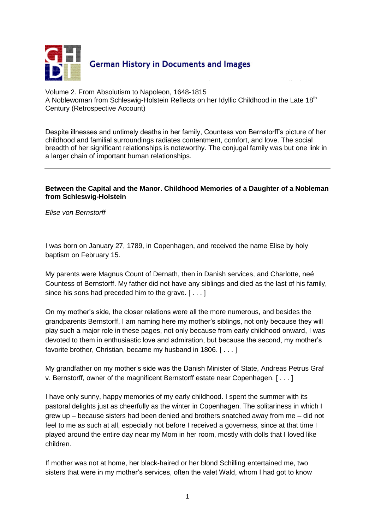

Volume 2. From Absolutism to Napoleon, 1648-1815 A Noblewoman from Schleswig-Holstein Reflects on her Idyllic Childhood in the Late 18<sup>th</sup> Century (Retrospective Account)

Despite illnesses and untimely deaths in her family, Countess von Bernstorff's picture of her childhood and familial surroundings radiates contentment, comfort, and love. The social breadth of her significant relationships is noteworthy. The conjugal family was but one link in a larger chain of important human relationships.

## **Between the Capital and the Manor. Childhood Memories of a Daughter of a Nobleman from Schleswig-Holstein**

*Elise von Bernstorff*

I was born on January 27, 1789, in Copenhagen, and received the name Elise by holy baptism on February 15.

My parents were Magnus Count of Dernath, then in Danish services, and Charlotte, neé Countess of Bernstorff. My father did not have any siblings and died as the last of his family, since his sons had preceded him to the grave. [ . . . ]

On my mother's side, the closer relations were all the more numerous, and besides the grandparents Bernstorff, I am naming here my mother's siblings, not only because they will play such a major role in these pages, not only because from early childhood onward, I was devoted to them in enthusiastic love and admiration, but because the second, my mother's favorite brother, Christian, became my husband in 1806. [ . . . ]

My grandfather on my mother's side was the Danish Minister of State, Andreas Petrus Graf v. Bernstorff, owner of the magnificent Bernstorff estate near Copenhagen. [ . . . ]

I have only sunny, happy memories of my early childhood. I spent the summer with its pastoral delights just as cheerfully as the winter in Copenhagen. The solitariness in which I grew up – because sisters had been denied and brothers snatched away from me – did not feel to me as such at all, especially not before I received a governess, since at that time I played around the entire day near my Mom in her room, mostly with dolls that I loved like children.

If mother was not at home, her black-haired or her blond Schilling entertained me, two sisters that were in my mother's services, often the valet Wald, whom I had got to know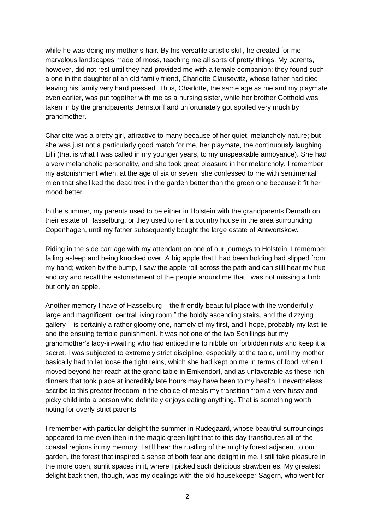while he was doing my mother's hair. By his versatile artistic skill, he created for me marvelous landscapes made of moss, teaching me all sorts of pretty things. My parents, however, did not rest until they had provided me with a female companion; they found such a one in the daughter of an old family friend, Charlotte Clausewitz, whose father had died, leaving his family very hard pressed. Thus, Charlotte, the same age as me and my playmate even earlier, was put together with me as a nursing sister, while her brother Gotthold was taken in by the grandparents Bernstorff and unfortunately got spoiled very much by grandmother.

Charlotte was a pretty girl, attractive to many because of her quiet, melancholy nature; but she was just not a particularly good match for me, her playmate, the continuously laughing Lilli (that is what I was called in my younger years, to my unspeakable annoyance). She had a very melancholic personality, and she took great pleasure in her melancholy. I remember my astonishment when, at the age of six or seven, she confessed to me with sentimental mien that she liked the dead tree in the garden better than the green one because it fit her mood better.

In the summer, my parents used to be either in Holstein with the grandparents Dernath on their estate of Hasselburg, or they used to rent a country house in the area surrounding Copenhagen, until my father subsequently bought the large estate of Antwortskow.

Riding in the side carriage with my attendant on one of our journeys to Holstein, I remember failing asleep and being knocked over. A big apple that I had been holding had slipped from my hand; woken by the bump, I saw the apple roll across the path and can still hear my hue and cry and recall the astonishment of the people around me that I was not missing a limb but only an apple.

Another memory I have of Hasselburg – the friendly-beautiful place with the wonderfully large and magnificent "central living room," the boldly ascending stairs, and the dizzying gallery – is certainly a rather gloomy one, namely of my first, and I hope, probably my last lie and the ensuing terrible punishment. It was not one of the two Schillings but my grandmother's lady-in-waiting who had enticed me to nibble on forbidden nuts and keep it a secret. I was subjected to extremely strict discipline, especially at the table, until my mother basically had to let loose the tight reins, which she had kept on me in terms of food, when I moved beyond her reach at the grand table in Emkendorf, and as unfavorable as these rich dinners that took place at incredibly late hours may have been to my health, I nevertheless ascribe to this greater freedom in the choice of meals my transition from a very fussy and picky child into a person who definitely enjoys eating anything. That is something worth noting for overly strict parents.

I remember with particular delight the summer in Rudegaard, whose beautiful surroundings appeared to me even then in the magic green light that to this day transfigures all of the coastal regions in my memory. I still hear the rustling of the mighty forest adjacent to our garden, the forest that inspired a sense of both fear and delight in me. I still take pleasure in the more open, sunlit spaces in it, where I picked such delicious strawberries. My greatest delight back then, though, was my dealings with the old housekeeper Sagern, who went for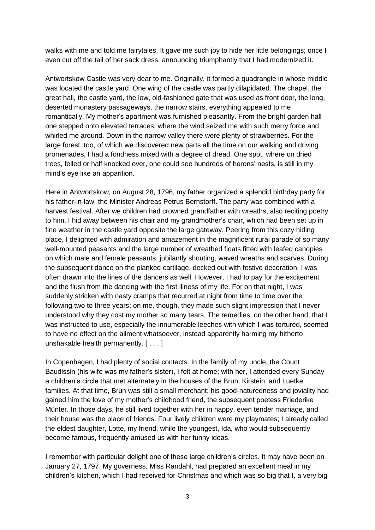walks with me and told me fairytales. It gave me such joy to hide her little belongings; once I even cut off the tail of her sack dress, announcing triumphantly that I had modernized it.

Antwortskow Castle was very dear to me. Originally, it formed a quadrangle in whose middle was located the castle yard. One wing of the castle was partly dilapidated. The chapel, the great hall, the castle yard, the low, old-fashioned gate that was used as front door, the long, deserted monastery passageways, the narrow stairs, everything appealed to me romantically. My mother's apartment was furnished pleasantly. From the bright garden hall one stepped onto elevated terraces, where the wind seized me with such merry force and whirled me around. Down in the narrow valley there were plenty of strawberries. For the large forest, too, of which we discovered new parts all the time on our walking and driving promenades, I had a fondness mixed with a degree of dread. One spot, where on dried trees, felled or half knocked over, one could see hundreds of herons' nests, is still in my mind's eye like an apparition.

Here in Antwortskow, on August 28, 1796, my father organized a splendid birthday party for his father-in-law, the Minister Andreas Petrus Bernstorff. The party was combined with a harvest festival. After we children had crowned grandfather with wreaths, also reciting poetry to him, I hid away between his chair and my grandmother's chair, which had been set up in fine weather in the castle yard opposite the large gateway. Peering from this cozy hiding place, I delighted with admiration and amazement in the magnificent rural parade of so many well-mounted peasants and the large number of wreathed floats fitted with leafed canopies on which male and female peasants, jubilantly shouting, waved wreaths and scarves. During the subsequent dance on the planked cartilage, decked out with festive decoration, I was often drawn into the lines of the dancers as well. However, I had to pay for the excitement and the flush from the dancing with the first illness of my life. For on that night, I was suddenly stricken with nasty cramps that recurred at night from time to time over the following two to three years; on me, though, they made such slight impression that I never understood why they cost my mother so many tears. The remedies, on the other hand, that I was instructed to use, especially the innumerable leeches with which I was tortured, seemed to have no effect on the ailment whatsoever, instead apparently harming my hitherto unshakable health permanently. [ . . . ]

In Copenhagen, I had plenty of social contacts. In the family of my uncle, the Count Baudissin (his wife was my father's sister), I felt at home; with her, I attended every Sunday a children's circle that met alternately in the houses of the Brun, Kirstein, and Luetke families. At that time, Brun was still a small merchant; his good-naturedness and joviality had gained him the love of my mother's childhood friend, the subsequent poetess Friederike Münter. In those days, he still lived together with her in happy, even tender marriage, and their house was the place of friends. Four lively children were my playmates; I already called the eldest daughter, Lotte, my friend, while the youngest, Ida, who would subsequently become famous, frequently amused us with her funny ideas.

I remember with particular delight one of these large children's circles. It may have been on January 27, 1797. My governess, Miss Randahl, had prepared an excellent meal in my children's kitchen, which I had received for Christmas and which was so big that I, a very big